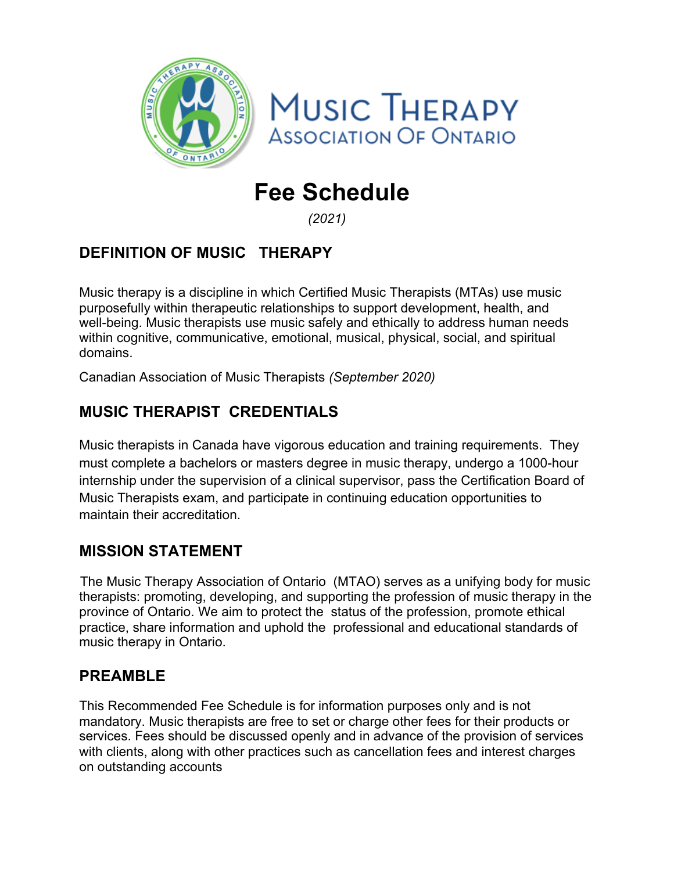



# **Fee Schedule**

*(2021)*

# **DEFINITION OF MUSIC THERAPY**

Music therapy is a discipline in which Certified Music Therapists (MTAs) use music purposefully within therapeutic relationships to support development, health, and well-being. Music therapists use music safely and ethically to address human needs within cognitive, communicative, emotional, musical, physical, social, and spiritual domains.

Canadian Association of Music Therapists *(September 2020)*

## **MUSIC THERAPIST CREDENTIALS**

Music therapists in Canada have vigorous education and training requirements. They must complete a bachelors or masters degree in music therapy, undergo a 1000-hour internship under the supervision of a clinical supervisor, pass the Certification Board of Music Therapists exam, and participate in continuing education opportunities to maintain their accreditation.

## **MISSION STATEMENT**

The Music Therapy Association of Ontario (MTAO) serves as a unifying body for music therapists: promoting, developing, and supporting the profession of music therapy in the province of Ontario. We aim to protect the status of the profession, promote ethical practice, share information and uphold the professional and educational standards of music therapy in Ontario.

## **PREAMBLE**

This Recommended Fee Schedule is for information purposes only and is not mandatory. Music therapists are free to set or charge other fees for their products or services. Fees should be discussed openly and in advance of the provision of services with clients, along with other practices such as cancellation fees and interest charges on outstanding accounts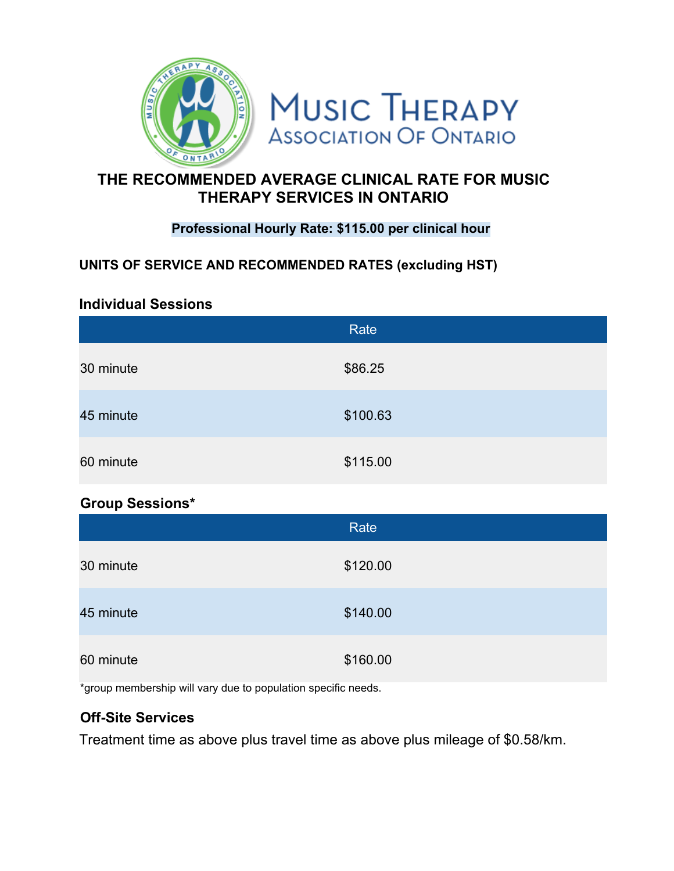

## **THE RECOMMENDED AVERAGE CLINICAL RATE FOR MUSIC THERAPY SERVICES IN ONTARIO**

#### **Professional Hourly Rate: \$115.00 per clinical hour**

#### **UNITS OF SERVICE AND RECOMMENDED RATES (excluding HST)**

#### **Individual Sessions**

|           | Rate     |
|-----------|----------|
| 30 minute | \$86.25  |
| 45 minute | \$100.63 |
| 60 minute | \$115.00 |

#### **Group Sessions\***

|           | Rate     |
|-----------|----------|
| 30 minute | \$120.00 |
| 45 minute | \$140.00 |
| 60 minute | \$160.00 |

\*group membership will vary due to population specific needs.

#### **Off-Site Services**

Treatment time as above plus travel time as above plus mileage of \$0.58/km.